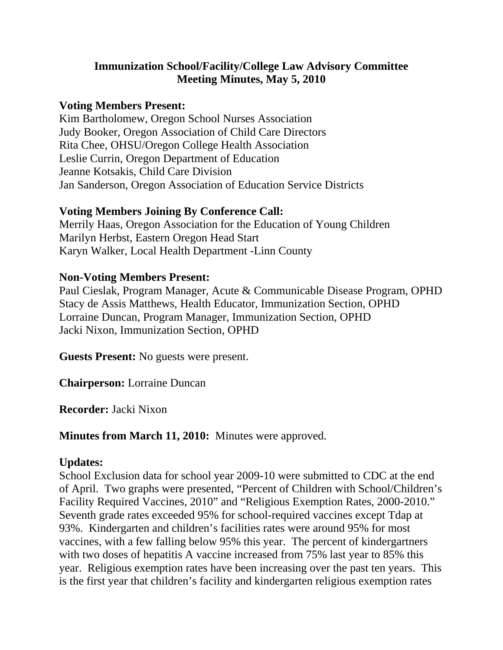## **Immunization School/Facility/College Law Advisory Committee Meeting Minutes, May 5, 2010**

#### **Voting Members Present:**

Kim Bartholomew, Oregon School Nurses Association Judy Booker, Oregon Association of Child Care Directors Rita Chee, OHSU/Oregon College Health Association Leslie Currin, Oregon Department of Education Jeanne Kotsakis, Child Care Division Jan Sanderson, Oregon Association of Education Service Districts

#### **Voting Members Joining By Conference Call:**

Merrily Haas, Oregon Association for the Education of Young Children Marilyn Herbst, Eastern Oregon Head Start Karyn Walker, Local Health Department -Linn County

### **Non-Voting Members Present:**

Paul Cieslak, Program Manager, Acute & Communicable Disease Program, OPHD Stacy de Assis Matthews, Health Educator, Immunization Section, OPHD Lorraine Duncan, Program Manager, Immunization Section, OPHD Jacki Nixon, Immunization Section, OPHD

**Guests Present:** No guests were present.

**Chairperson:** Lorraine Duncan

**Recorder:** Jacki Nixon

**Minutes from March 11, 2010:** Minutes were approved.

#### **Updates:**

School Exclusion data for school year 2009-10 were submitted to CDC at the end of April. Two graphs were presented, "Percent of Children with School/Children's Facility Required Vaccines, 2010" and "Religious Exemption Rates, 2000-2010." Seventh grade rates exceeded 95% for school-required vaccines except Tdap at 93%. Kindergarten and children's facilities rates were around 95% for most vaccines, with a few falling below 95% this year. The percent of kindergartners with two doses of hepatitis A vaccine increased from 75% last year to 85% this year. Religious exemption rates have been increasing over the past ten years. This is the first year that children's facility and kindergarten religious exemption rates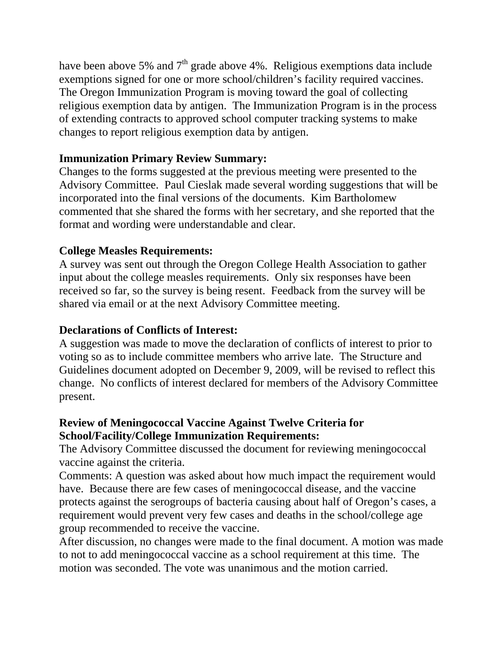have been above 5% and  $7<sup>th</sup>$  grade above 4%. Religious exemptions data include exemptions signed for one or more school/children's facility required vaccines. The Oregon Immunization Program is moving toward the goal of collecting religious exemption data by antigen. The Immunization Program is in the process of extending contracts to approved school computer tracking systems to make changes to report religious exemption data by antigen.

## **Immunization Primary Review Summary:**

Changes to the forms suggested at the previous meeting were presented to the Advisory Committee. Paul Cieslak made several wording suggestions that will be incorporated into the final versions of the documents. Kim Bartholomew commented that she shared the forms with her secretary, and she reported that the format and wording were understandable and clear.

## **College Measles Requirements:**

A survey was sent out through the Oregon College Health Association to gather input about the college measles requirements. Only six responses have been received so far, so the survey is being resent. Feedback from the survey will be shared via email or at the next Advisory Committee meeting.

## **Declarations of Conflicts of Interest:**

A suggestion was made to move the declaration of conflicts of interest to prior to voting so as to include committee members who arrive late. The Structure and Guidelines document adopted on December 9, 2009, will be revised to reflect this change. No conflicts of interest declared for members of the Advisory Committee present.

### **Review of Meningococcal Vaccine Against Twelve Criteria for School/Facility/College Immunization Requirements:**

The Advisory Committee discussed the document for reviewing meningococcal vaccine against the criteria.

Comments: A question was asked about how much impact the requirement would have. Because there are few cases of meningococcal disease, and the vaccine protects against the serogroups of bacteria causing about half of Oregon's cases, a requirement would prevent very few cases and deaths in the school/college age group recommended to receive the vaccine.

After discussion, no changes were made to the final document. A motion was made to not to add meningococcal vaccine as a school requirement at this time. The motion was seconded. The vote was unanimous and the motion carried.